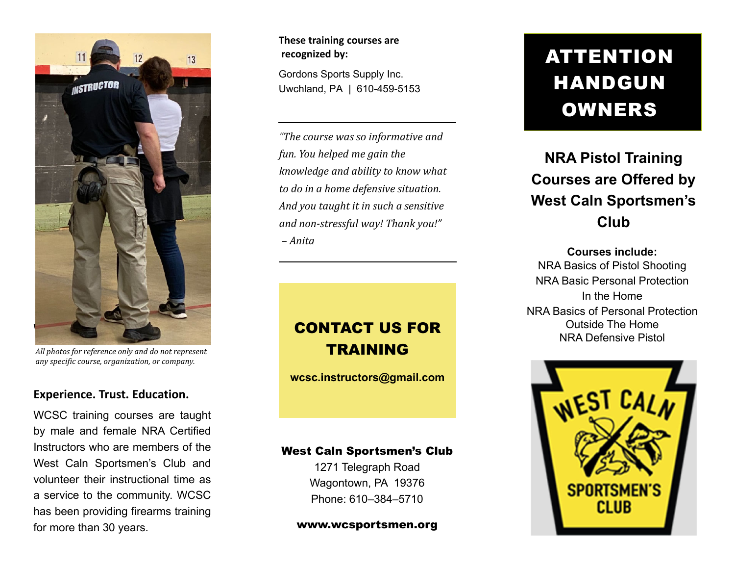

*All photos for reference only and do not represent any specific course, organization, or company.*

### **Experience. Trust. Education.**

WCSC training courses are taught by male and female NRA Certified Instructors who are members of theWest Caln Sportsmen's Club and volunteer their instructional time as<sup>a</sup> service to the community. WCSC has been providing firearms training for more than 30 years.

#### **These training courses are recognized by:**

Gordons Sports Supply Inc. Uwchland, PA | 610-459-5153

*"The course was so informative and fun. You helped me gain the knowledge and ability to know what to do in <sup>a</sup> home defensive situation. And you taught it in such <sup>a</sup> sensitive and non‐stressful way! Thank you!" – Anita*

### CONTACT US FOR TRAINING

**wcsc.instructors@gmail.com**

### West Caln Sportsmen's Club

1271 Telegraph Road Wagontown, PA 19376 Phone: 610–384–5710

www.wcsportsmen.org

# ATTENTION HANDGUN OWNERS

### **NRA Pistol Training Courses are Offered by West Caln Sportsmen's Club**

**Courses include:**NRA Basics of Pistol Shooting NRA Basic Personal Protection In the HomeNRA Basics of Personal Protection Outside The HomeNRA Defensive Pistol